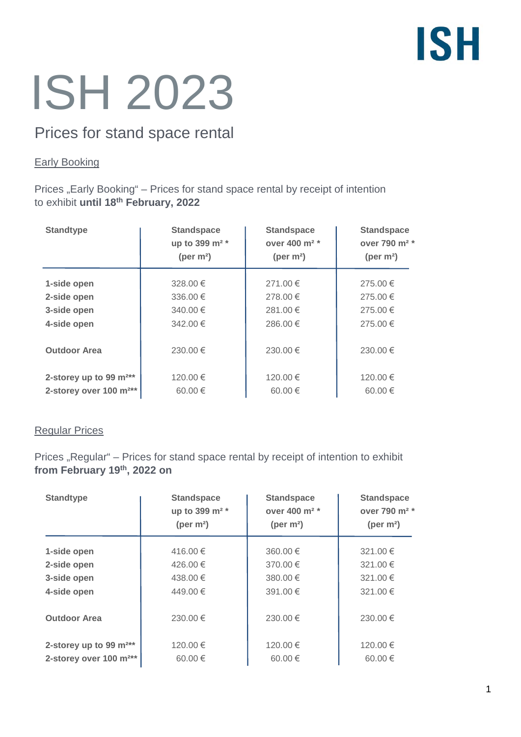# **ISH**

# ISH 2023

## Prices for stand space rental

### Early Booking

Prices "Early Booking" – Prices for stand space rental by receipt of intention to exhibit **until 18th February, 2022**

| <b>Standtype</b>                   | <b>Standspace</b><br>up to 399 m <sup>2</sup> *<br>(per $m2$ ) | <b>Standspace</b><br>over 400 m <sup>2</sup> *<br>(per $m2$ ) | <b>Standspace</b><br>over 790 m <sup>2</sup> *<br>(per $m2$ ) |
|------------------------------------|----------------------------------------------------------------|---------------------------------------------------------------|---------------------------------------------------------------|
| 1-side open                        | 328.00 €                                                       | 271.00 €                                                      | 275.00 €                                                      |
| 2-side open                        | 336.00 €                                                       | 278.00 €                                                      | 275.00 €                                                      |
| 3-side open                        | 340.00 €                                                       | 281.00 €                                                      | 275.00 €                                                      |
| 4-side open                        | 342.00 €                                                       | 286.00 €                                                      | 275.00 €                                                      |
| <b>Outdoor Area</b>                | 230.00 €                                                       | 230.00 €                                                      | 230.00 €                                                      |
| 2-storey up to 99 $m^{2**}$        | 120.00 €                                                       | 120.00 €                                                      | 120.00 €                                                      |
| 2-storey over 100 m <sup>2**</sup> | 60.00 $\in$                                                    | 60.00 $\in$                                                   | 60.00 $\in$                                                   |

#### Regular Prices

Prices "Regular" – Prices for stand space rental by receipt of intention to exhibit **from February 19th, 2022 on**

| <b>Standtype</b>                   | <b>Standspace</b><br>up to 399 m <sup>2</sup> *<br>(per $m2$ ) | <b>Standspace</b><br>over 400 m <sup>2 *</sup><br>(per $m2$ ) | <b>Standspace</b><br>over 790 m <sup>2</sup> *<br>(per $m2$ ) |
|------------------------------------|----------------------------------------------------------------|---------------------------------------------------------------|---------------------------------------------------------------|
| 1-side open                        | 416.00 €                                                       | 360.00 €                                                      | 321.00 €                                                      |
| 2-side open                        | 426.00 €                                                       | 370.00 $\in$                                                  | 321.00 €                                                      |
| 3-side open                        | 438.00 €                                                       | 380.00 €                                                      | 321.00 €                                                      |
| 4-side open                        | 449.00 €                                                       | 391.00 €                                                      | 321.00 €                                                      |
| <b>Outdoor Area</b>                | 230.00 €                                                       | 230.00 €                                                      | $230.00 \in$                                                  |
| 2-storey up to 99 $m^{2**}$        | 120.00 €                                                       | 120.00 €                                                      | 120.00 €                                                      |
| 2-storey over 100 m <sup>2**</sup> | 60.00 $\in$                                                    | 60.00 €                                                       | 60.00 $\in$                                                   |